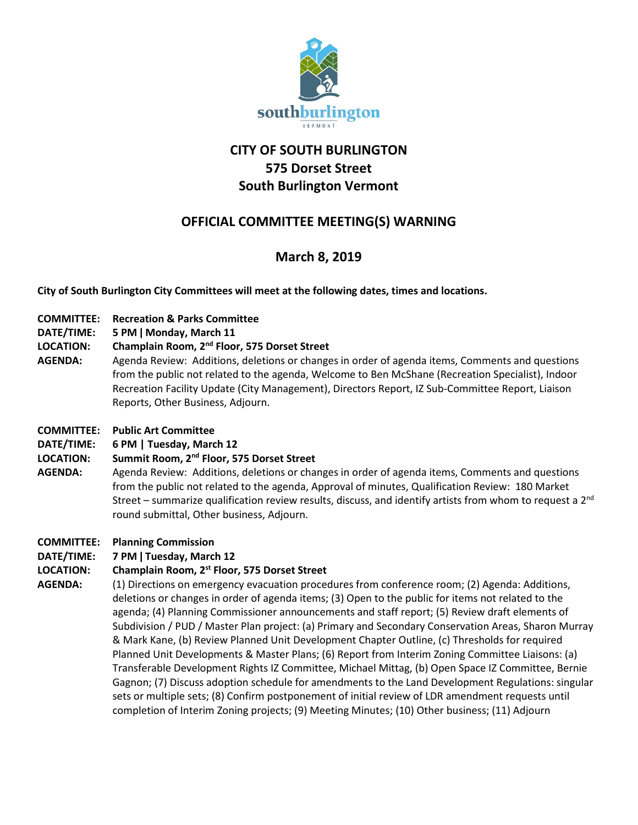

# **CITY OF SOUTH BURLINGTON 575 Dorset Street South Burlington Vermont**

# **OFFICIAL COMMITTEE MEETING(S) WARNING**

# **March 8, 2019**

**City of South Burlington City Committees will meet at the following dates, times and locations.** 

- **COMMITTEE: Recreation & Parks Committee**
- **DATE/TIME: 5 PM ǀ Monday, March 11**

## **LOCATION: Champlain Room, 2nd Floor, 575 Dorset Street**

**AGENDA:** Agenda Review: Additions, deletions or changes in order of agenda items, Comments and questions from the public not related to the agenda, Welcome to Ben McShane (Recreation Specialist), Indoor Recreation Facility Update (City Management), Directors Report, IZ Sub-Committee Report, Liaison Reports, Other Business, Adjourn.

### **COMMITTEE: Public Art Committee**

## **DATE/TIME: 6 PM | Tuesday, March 12**

## **LOCATION: Summit Room, 2nd Floor, 575 Dorset Street**

**AGENDA:** Agenda Review: Additions, deletions or changes in order of agenda items, Comments and questions from the public not related to the agenda, Approval of minutes, Qualification Review: 180 Market Street – summarize qualification review results, discuss, and identify artists from whom to request a  $2<sup>nd</sup>$ round submittal, Other business, Adjourn.

## **COMMITTEE: Planning Commission**

## **DATE/TIME: 7 PM ǀ Tuesday, March 12**

## **LOCATION: Champlain Room, 2st Floor, 575 Dorset Street**

**AGENDA:** (1) Directions on emergency evacuation procedures from conference room; (2) Agenda: Additions, deletions or changes in order of agenda items; (3) Open to the public for items not related to the agenda; (4) Planning Commissioner announcements and staff report; (5) Review draft elements of Subdivision / PUD / Master Plan project: (a) Primary and Secondary Conservation Areas, Sharon Murray & Mark Kane, (b) Review Planned Unit Development Chapter Outline, (c) Thresholds for required Planned Unit Developments & Master Plans; (6) Report from Interim Zoning Committee Liaisons: (a) Transferable Development Rights IZ Committee, Michael Mittag, (b) Open Space IZ Committee, Bernie Gagnon; (7) Discuss adoption schedule for amendments to the Land Development Regulations: singular sets or multiple sets; (8) Confirm postponement of initial review of LDR amendment requests until completion of Interim Zoning projects; (9) Meeting Minutes; (10) Other business; (11) Adjourn